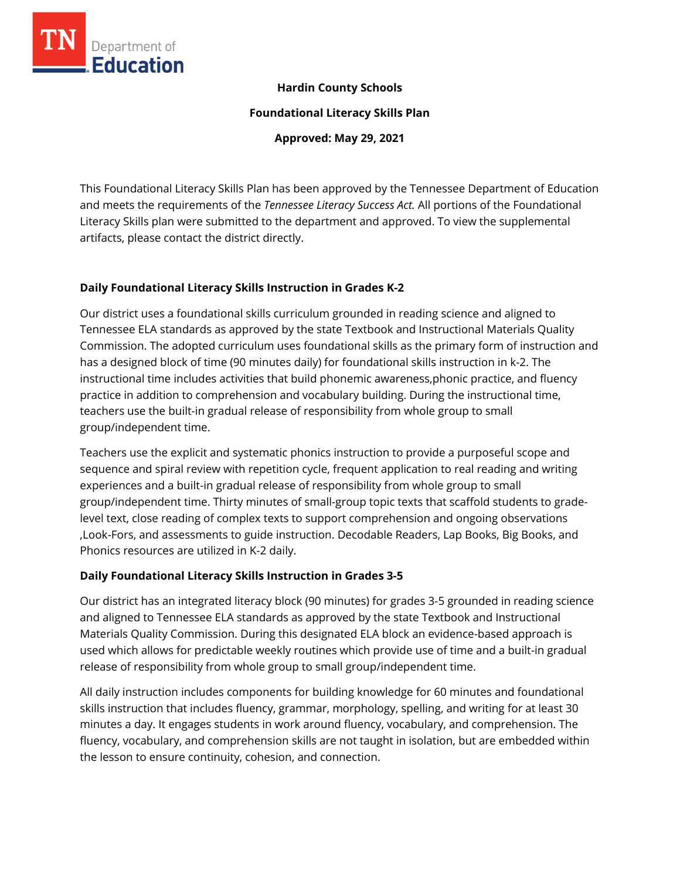

## **Hardin County Schools**

**Foundational Literacy Skills Plan**

**Approved: May 29, 2021**

This Foundational Literacy Skills Plan has been approved by the Tennessee Department of Education and meets the requirements of the *Tennessee Literacy Success Act.* All portions of the Foundational Literacy Skills plan were submitted to the department and approved. To view the supplemental artifacts, please contact the district directly.

## **Daily Foundational Literacy Skills Instruction in Grades K-2**

Our district uses a foundational skills curriculum grounded in reading science and aligned to Tennessee ELA standards as approved by the state Textbook and Instructional Materials Quality Commission. The adopted curriculum uses foundational skills as the primary form of instruction and has a designed block of time (90 minutes daily) for foundational skills instruction in k-2. The instructional time includes activities that build phonemic awareness,phonic practice, and fluency practice in addition to comprehension and vocabulary building. During the instructional time, teachers use the built-in gradual release of responsibility from whole group to small group/independent time.

Teachers use the explicit and systematic phonics instruction to provide a purposeful scope and sequence and spiral review with repetition cycle, frequent application to real reading and writing experiences and a built-in gradual release of responsibility from whole group to small group/independent time. Thirty minutes of small-group topic texts that scaffold students to gradelevel text, close reading of complex texts to support comprehension and ongoing observations ,Look-Fors, and assessments to guide instruction. Decodable Readers, Lap Books, Big Books, and Phonics resources are utilized in K-2 daily.

## **Daily Foundational Literacy Skills Instruction in Grades 3-5**

Our district has an integrated literacy block (90 minutes) for grades 3-5 grounded in reading science and aligned to Tennessee ELA standards as approved by the state Textbook and Instructional Materials Quality Commission. During this designated ELA block an evidence-based approach is used which allows for predictable weekly routines which provide use of time and a built-in gradual release of responsibility from whole group to small group/independent time.

All daily instruction includes components for building knowledge for 60 minutes and foundational skills instruction that includes fluency, grammar, morphology, spelling, and writing for at least 30 minutes a day. It engages students in work around fluency, vocabulary, and comprehension. The fluency, vocabulary, and comprehension skills are not taught in isolation, but are embedded within the lesson to ensure continuity, cohesion, and connection.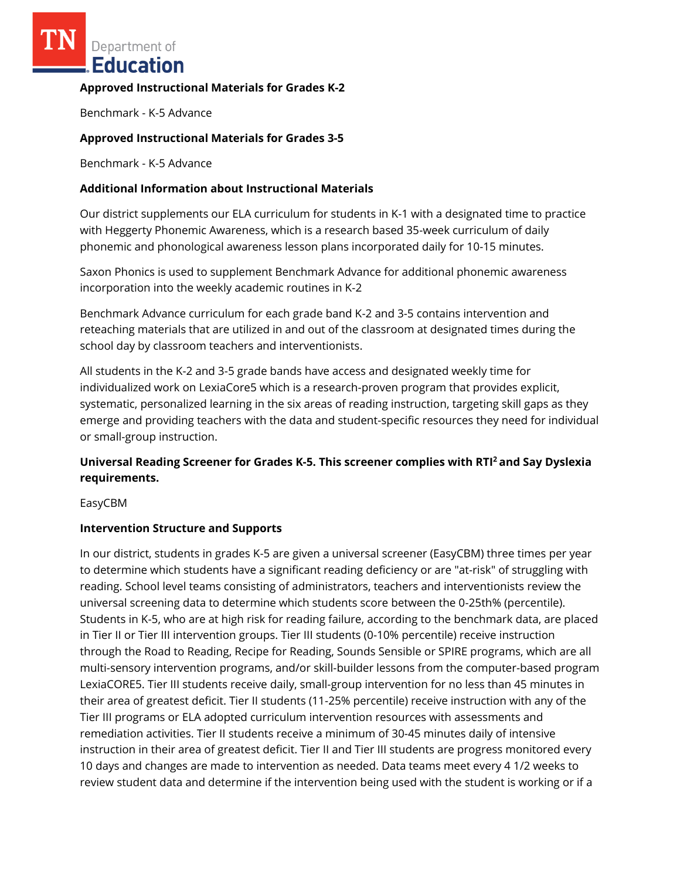Department of Education

## **Approved Instructional Materials for Grades K-2**

Benchmark - K-5 Advance

## **Approved Instructional Materials for Grades 3-5**

Benchmark - K-5 Advance

## **Additional Information about Instructional Materials**

Our district supplements our ELA curriculum for students in K-1 with a designated time to practice with Heggerty Phonemic Awareness, which is a research based 35-week curriculum of daily phonemic and phonological awareness lesson plans incorporated daily for 10-15 minutes.

Saxon Phonics is used to supplement Benchmark Advance for additional phonemic awareness incorporation into the weekly academic routines in K-2

Benchmark Advance curriculum for each grade band K-2 and 3-5 contains intervention and reteaching materials that are utilized in and out of the classroom at designated times during the school day by classroom teachers and interventionists.

All students in the K-2 and 3-5 grade bands have access and designated weekly time for individualized work on LexiaCore5 which is a research-proven program that provides explicit, systematic, personalized learning in the six areas of reading instruction, targeting skill gaps as they emerge and providing teachers with the data and student-specific resources they need for individual or small-group instruction.

# **Universal Reading Screener for Grades K-5. This screener complies with RTI<sup>2</sup>and Say Dyslexia requirements.**

EasyCBM

## **Intervention Structure and Supports**

In our district, students in grades K-5 are given a universal screener (EasyCBM) three times per year to determine which students have a significant reading deficiency or are "at-risk" of struggling with reading. School level teams consisting of administrators, teachers and interventionists review the universal screening data to determine which students score between the 0-25th% (percentile). Students in K-5, who are at high risk for reading failure, according to the benchmark data, are placed in Tier II or Tier III intervention groups. Tier III students (0-10% percentile) receive instruction through the Road to Reading, Recipe for Reading, Sounds Sensible or SPIRE programs, which are all multi-sensory intervention programs, and/or skill-builder lessons from the computer-based program LexiaCORE5. Tier III students receive daily, small-group intervention for no less than 45 minutes in their area of greatest deficit. Tier II students (11-25% percentile) receive instruction with any of the Tier III programs or ELA adopted curriculum intervention resources with assessments and remediation activities. Tier II students receive a minimum of 30-45 minutes daily of intensive instruction in their area of greatest deficit. Tier II and Tier III students are progress monitored every 10 days and changes are made to intervention as needed. Data teams meet every 4 1/2 weeks to review student data and determine if the intervention being used with the student is working or if a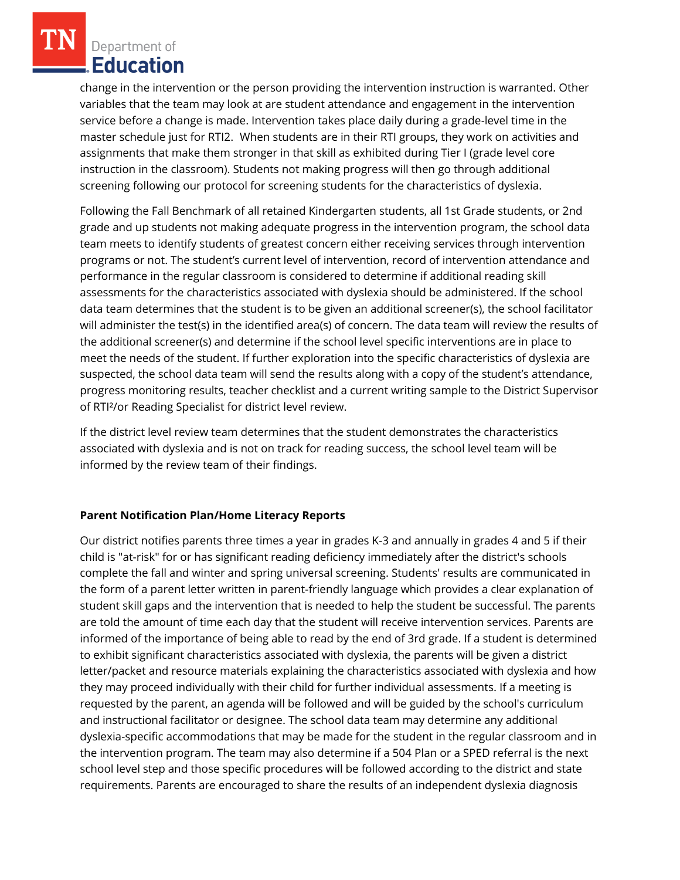Department of **Education** 

change in the intervention or the person providing the intervention instruction is warranted. Other variables that the team may look at are student attendance and engagement in the intervention service before a change is made. Intervention takes place daily during a grade-level time in the master schedule just for RTI2. When students are in their RTI groups, they work on activities and assignments that make them stronger in that skill as exhibited during Tier I (grade level core instruction in the classroom). Students not making progress will then go through additional screening following our protocol for screening students for the characteristics of dyslexia.

Following the Fall Benchmark of all retained Kindergarten students, all 1st Grade students, or 2nd grade and up students not making adequate progress in the intervention program, the school data team meets to identify students of greatest concern either receiving services through intervention programs or not. The student's current level of intervention, record of intervention attendance and performance in the regular classroom is considered to determine if additional reading skill assessments for the characteristics associated with dyslexia should be administered. If the school data team determines that the student is to be given an additional screener(s), the school facilitator will administer the test(s) in the identified area(s) of concern. The data team will review the results of the additional screener(s) and determine if the school level specific interventions are in place to meet the needs of the student. If further exploration into the specific characteristics of dyslexia are suspected, the school data team will send the results along with a copy of the student's attendance, progress monitoring results, teacher checklist and a current writing sample to the District Supervisor of RTI²/or Reading Specialist for district level review.

If the district level review team determines that the student demonstrates the characteristics associated with dyslexia and is not on track for reading success, the school level team will be informed by the review team of their findings.

## **Parent Notification Plan/Home Literacy Reports**

Our district notifies parents three times a year in grades K-3 and annually in grades 4 and 5 if their child is "at-risk" for or has significant reading deficiency immediately after the district's schools complete the fall and winter and spring universal screening. Students' results are communicated in the form of a parent letter written in parent-friendly language which provides a clear explanation of student skill gaps and the intervention that is needed to help the student be successful. The parents are told the amount of time each day that the student will receive intervention services. Parents are informed of the importance of being able to read by the end of 3rd grade. If a student is determined to exhibit significant characteristics associated with dyslexia, the parents will be given a district letter/packet and resource materials explaining the characteristics associated with dyslexia and how they may proceed individually with their child for further individual assessments. If a meeting is requested by the parent, an agenda will be followed and will be guided by the school's curriculum and instructional facilitator or designee. The school data team may determine any additional dyslexia-specific accommodations that may be made for the student in the regular classroom and in the intervention program. The team may also determine if a 504 Plan or a SPED referral is the next school level step and those specific procedures will be followed according to the district and state requirements. Parents are encouraged to share the results of an independent dyslexia diagnosis